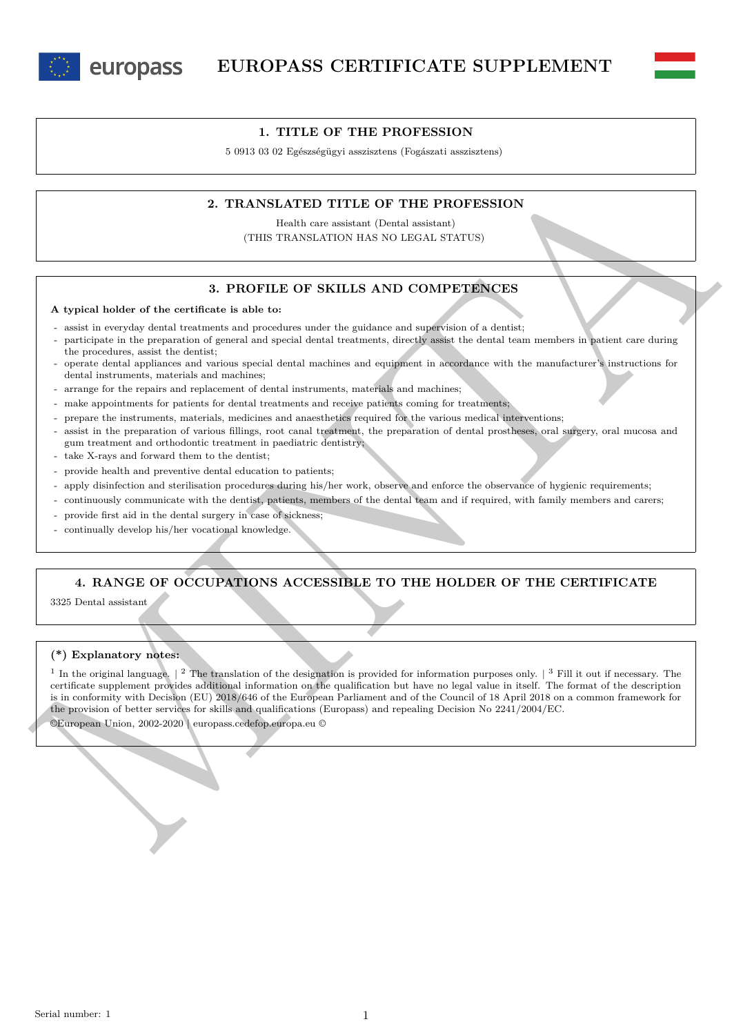

europass



5 0913 03 02 Egészségügyi asszisztens (Fogászati asszisztens)

## **2. TRANSLATED TITLE OF THE PROFESSION**

Health care assistant (Dental assistant) (THIS TRANSLATION HAS NO LEGAL STATUS)

## **3. PROFILE OF SKILLS AND COMPETENCES**

#### **A typical holder of the certificate is able to:**

- assist in everyday dental treatments and procedures under the guidance and supervision of a dentist;
- participate in the preparation of general and special dental treatments, directly assist the dental team members in patient care during the procedures, assist the dentist;
- operate dental appliances and various special dental machines and equipment in accordance with the manufacturer's instructions for dental instruments, materials and machines;
- arrange for the repairs and replacement of dental instruments, materials and machines;
- make appointments for patients for dental treatments and receive patients coming for treatments;
- prepare the instruments, materials, medicines and anaesthetics required for the various medical interventions;
- assist in the preparation of various fillings, root canal treatment, the preparation of dental prostheses, oral surgery, oral mucosa and gum treatment and orthodontic treatment in paediatric dentistry;
- take X-rays and forward them to the dentist;
- provide health and preventive dental education to patients;
- apply disinfection and sterilisation procedures during his/her work, observe and enforce the observance of hygienic requirements;
- continuously communicate with the dentist, patients, members of the dental team and if required, with family members and carers;
- provide first aid in the dental surgery in case of sickness;
- continually develop his/her vocational knowledge.

# **4. RANGE OF OCCUPATIONS ACCESSIBLE TO THE HOLDER OF THE CERTIFICATE**

3325 Dental assistant

### **(\*) Explanatory notes:**

2. TRANSLATED TITLE OF THE PROFESSION<br>
14. TRANSLATED TITLE OF THE PROFESSION<br>
16. THE CONFIDENTIAL OF THE PROFESSION<br>
16. THE CONFIDENTIAL OF THE PROFESSION<br>
2. THEN TRANSLATED TITLE OF THE PROFESSION<br>
2. THEN TRANSLATED <sup>1</sup> In the original language.  $\vert$  <sup>2</sup> The translation of the designation is provided for information purposes only.  $\vert$  <sup>3</sup> Fill it out if necessary. The certificate supplement provides additional information on the qualification but have no legal value in itself. The format of the description is in conformity with Decision (EU) 2018/646 of the European Parliament and of the Council of 18 April 2018 on a common framework for the provision of better services for skills and qualifications (Europass) and repealing Decision No 2241/2004/EC.

©European Union, 2002-2020 | europass.cedefop.europa.eu ©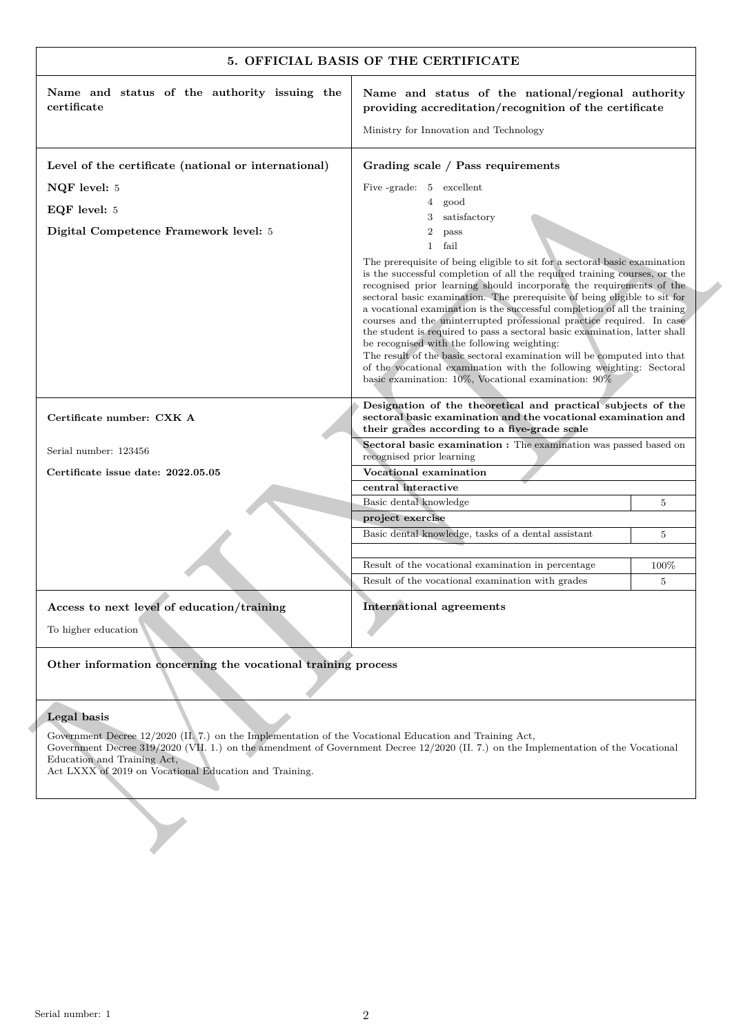|                                                                                                                                                                                                                                                                                                                                        | Name and status of the national/regional authority                                                                                                                                                                                                                                                                                                                                                                                                                                                                                                                                                                                                                                                                                                                                                               |                |
|----------------------------------------------------------------------------------------------------------------------------------------------------------------------------------------------------------------------------------------------------------------------------------------------------------------------------------------|------------------------------------------------------------------------------------------------------------------------------------------------------------------------------------------------------------------------------------------------------------------------------------------------------------------------------------------------------------------------------------------------------------------------------------------------------------------------------------------------------------------------------------------------------------------------------------------------------------------------------------------------------------------------------------------------------------------------------------------------------------------------------------------------------------------|----------------|
| certificate                                                                                                                                                                                                                                                                                                                            | providing accreditation/recognition of the certificate                                                                                                                                                                                                                                                                                                                                                                                                                                                                                                                                                                                                                                                                                                                                                           |                |
|                                                                                                                                                                                                                                                                                                                                        | Ministry for Innovation and Technology                                                                                                                                                                                                                                                                                                                                                                                                                                                                                                                                                                                                                                                                                                                                                                           |                |
| Level of the certificate (national or international)                                                                                                                                                                                                                                                                                   | Grading scale / Pass requirements                                                                                                                                                                                                                                                                                                                                                                                                                                                                                                                                                                                                                                                                                                                                                                                |                |
| NQF level: 5                                                                                                                                                                                                                                                                                                                           | Five -grade: 5 excellent                                                                                                                                                                                                                                                                                                                                                                                                                                                                                                                                                                                                                                                                                                                                                                                         |                |
| EQF level: 5                                                                                                                                                                                                                                                                                                                           | $\overline{4}$<br>good                                                                                                                                                                                                                                                                                                                                                                                                                                                                                                                                                                                                                                                                                                                                                                                           |                |
|                                                                                                                                                                                                                                                                                                                                        | satisfactory<br>3<br>$\overline{2}$                                                                                                                                                                                                                                                                                                                                                                                                                                                                                                                                                                                                                                                                                                                                                                              |                |
| Digital Competence Framework level: 5                                                                                                                                                                                                                                                                                                  | pass<br>$\mathbf{1}$<br>fail                                                                                                                                                                                                                                                                                                                                                                                                                                                                                                                                                                                                                                                                                                                                                                                     |                |
|                                                                                                                                                                                                                                                                                                                                        | The prerequisite of being eligible to sit for a sectoral basic examination<br>is the successful completion of all the required training courses, or the<br>recognised prior learning should incorporate the requirements of the<br>sectoral basic examination. The prerequisite of being eligible to sit for<br>a vocational examination is the successful completion of all the training<br>courses and the uninterrupted professional practice required. In case<br>the student is required to pass a sectoral basic examination, latter shall<br>be recognised with the following weighting:<br>The result of the basic sectoral examination will be computed into that<br>of the vocational examination with the following weighting: Sectoral<br>basic examination: $10\%$ , Vocational examination: $90\%$ |                |
| Certificate number: CXK A                                                                                                                                                                                                                                                                                                              | Designation of the theoretical and practical subjects of the<br>sectoral basic examination and the vocational examination and<br>their grades according to a five-grade scale                                                                                                                                                                                                                                                                                                                                                                                                                                                                                                                                                                                                                                    |                |
| Serial number: 123456                                                                                                                                                                                                                                                                                                                  | Sectoral basic examination : The examination was passed based on<br>recognised prior learning                                                                                                                                                                                                                                                                                                                                                                                                                                                                                                                                                                                                                                                                                                                    |                |
| Certificate issue date: 2022.05.05                                                                                                                                                                                                                                                                                                     | Vocational examination                                                                                                                                                                                                                                                                                                                                                                                                                                                                                                                                                                                                                                                                                                                                                                                           |                |
|                                                                                                                                                                                                                                                                                                                                        | central interactive                                                                                                                                                                                                                                                                                                                                                                                                                                                                                                                                                                                                                                                                                                                                                                                              |                |
|                                                                                                                                                                                                                                                                                                                                        | Basic dental knowledge<br>project exercise                                                                                                                                                                                                                                                                                                                                                                                                                                                                                                                                                                                                                                                                                                                                                                       | 5              |
|                                                                                                                                                                                                                                                                                                                                        | Basic dental knowledge, tasks of a dental assistant                                                                                                                                                                                                                                                                                                                                                                                                                                                                                                                                                                                                                                                                                                                                                              | $\overline{5}$ |
|                                                                                                                                                                                                                                                                                                                                        |                                                                                                                                                                                                                                                                                                                                                                                                                                                                                                                                                                                                                                                                                                                                                                                                                  |                |
|                                                                                                                                                                                                                                                                                                                                        | Result of the vocational examination in percentage                                                                                                                                                                                                                                                                                                                                                                                                                                                                                                                                                                                                                                                                                                                                                               | 100%           |
|                                                                                                                                                                                                                                                                                                                                        | Result of the vocational examination with grades                                                                                                                                                                                                                                                                                                                                                                                                                                                                                                                                                                                                                                                                                                                                                                 | 5              |
| Access to next level of education/training                                                                                                                                                                                                                                                                                             | <b>International agreements</b>                                                                                                                                                                                                                                                                                                                                                                                                                                                                                                                                                                                                                                                                                                                                                                                  |                |
| To higher education                                                                                                                                                                                                                                                                                                                    |                                                                                                                                                                                                                                                                                                                                                                                                                                                                                                                                                                                                                                                                                                                                                                                                                  |                |
| Other information concerning the vocational training process                                                                                                                                                                                                                                                                           |                                                                                                                                                                                                                                                                                                                                                                                                                                                                                                                                                                                                                                                                                                                                                                                                                  |                |
| Legal basis                                                                                                                                                                                                                                                                                                                            |                                                                                                                                                                                                                                                                                                                                                                                                                                                                                                                                                                                                                                                                                                                                                                                                                  |                |
| Government Decree 12/2020 (II. 7.) on the Implementation of the Vocational Education and Training Act,<br>Government Decree 319/2020 (VII. 1.) on the amendment of Government Decree 12/2020 (II. 7.) on the Implementation of the Vocational<br>Education and Training Act,<br>Act LXXX of 2019 on Vocational Education and Training. |                                                                                                                                                                                                                                                                                                                                                                                                                                                                                                                                                                                                                                                                                                                                                                                                                  |                |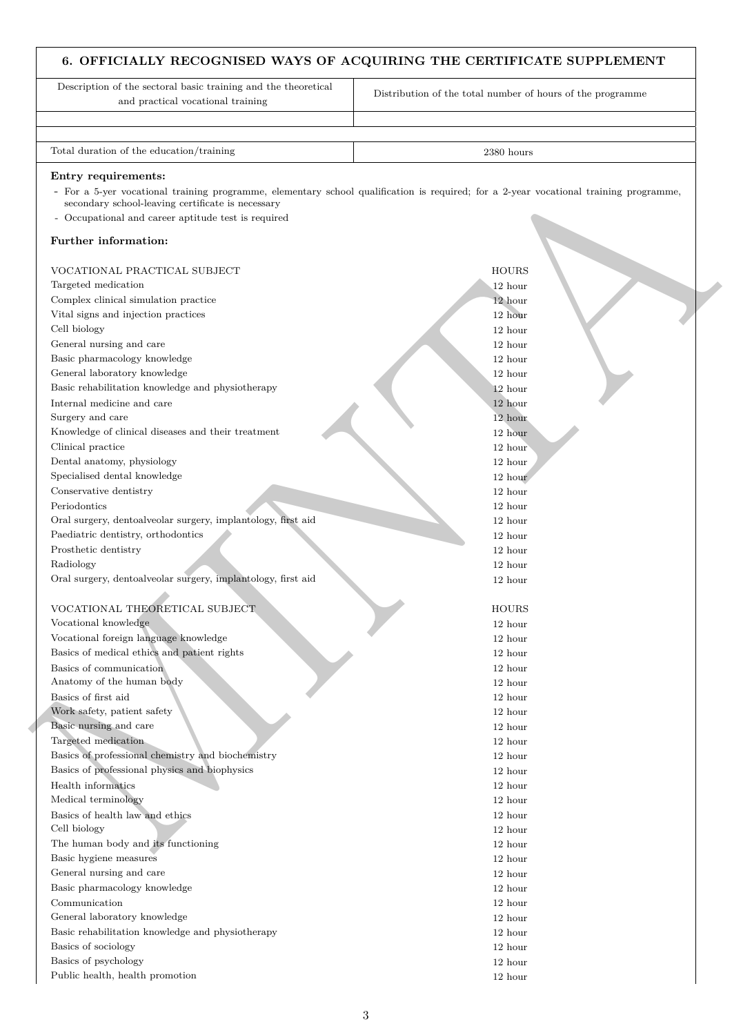## **6. OFFICIALLY RECOGNISED WAYS OF ACQUIRING THE CERTIFICATE SUPPLEMENT**

Description of the sectoral basic training and the theoretical and practical vocational training

Distribution of the total number of hours of the programme

Total duration of the education/training 2380 hours 2380 hours

#### **Entry requirements:**

#### **Further information:**

| - For a 5-yer vocational training programme, elementary school qualification is required; for a 2-year vocational training programme, |              |
|---------------------------------------------------------------------------------------------------------------------------------------|--------------|
| secondary school-leaving certificate is necessary                                                                                     |              |
| - Occupational and career aptitude test is required                                                                                   |              |
| Further information:                                                                                                                  |              |
| VOCATIONAL PRACTICAL SUBJECT                                                                                                          | <b>HOURS</b> |
| Targeted medication                                                                                                                   | 12 hour      |
| Complex clinical simulation practice                                                                                                  | 12 hour      |
| Vital signs and injection practices                                                                                                   | 12 hour      |
| Cell biology                                                                                                                          | 12 hour      |
| General nursing and care                                                                                                              | 12 hour      |
| Basic pharmacology knowledge                                                                                                          | 12 hour      |
| General laboratory knowledge                                                                                                          | 12 hour      |
| Basic rehabilitation knowledge and physiotherapy                                                                                      | 12 hour      |
| Internal medicine and care                                                                                                            | 12 hour      |
| Surgery and care                                                                                                                      | 12 hour      |
| Knowledge of clinical diseases and their treatment                                                                                    | 12 hour      |
| Clinical practice                                                                                                                     | 12 hour      |
| Dental anatomy, physiology                                                                                                            | 12 hour      |
| Specialised dental knowledge                                                                                                          | 12 hour      |
| Conservative dentistry                                                                                                                | 12 hour      |
| Periodontics                                                                                                                          | 12 hour      |
| Oral surgery, dentoalveolar surgery, implantology, first aid                                                                          | 12 hour      |
| Paediatric dentistry, orthodontics                                                                                                    | 12 hour      |
| Prosthetic dentistry                                                                                                                  | 12 hour      |
| Radiology                                                                                                                             | 12 hour      |
| Oral surgery, dentoalveolar surgery, implantology, first aid                                                                          | 12 hour      |
|                                                                                                                                       |              |
| VOCATIONAL THEORETICAL SUBJECT                                                                                                        | <b>HOURS</b> |
| Vocational knowledge                                                                                                                  | 12 hour      |
| Vocational foreign language knowledge                                                                                                 | 12 hour      |
| Basics of medical ethics and patient rights                                                                                           | 12 hour      |
| Basics of communication                                                                                                               | 12 hour      |
| Anatomy of the human body                                                                                                             | 12 hour      |
| Basics of first aid                                                                                                                   | 12 hour      |
| Work safety, patient safety                                                                                                           | 12 hour      |
| Basic nursing and care                                                                                                                | 12 hour      |
| Targeted medication                                                                                                                   | 12 hour      |
| Basics of professional chemistry and biochemistry                                                                                     | 12 hour      |
| Basics of professional physics and biophysics                                                                                         | 12 hour      |
| Health informatics                                                                                                                    | 12 hour      |
| Medical terminology                                                                                                                   | 12 hour      |
| Basics of health law and ethics                                                                                                       | 12 hour      |
| Cell biology                                                                                                                          | 12 hour      |
| The human body and its functioning                                                                                                    | 12 hour      |
| Basic hygiene measures                                                                                                                | 12 hour      |
| General nursing and care                                                                                                              | 12 hour      |
| Basic pharmacology knowledge                                                                                                          | 12 hour      |
| Communication                                                                                                                         | 12 hour      |
| General laboratory knowledge                                                                                                          | 12 hour      |
| Basic rehabilitation knowledge and physiotherapy                                                                                      | 12 hour      |
| Basics of sociology                                                                                                                   | 12 hour      |
| Basics of psychology                                                                                                                  | 12 hour      |
| Public health, health promotion                                                                                                       | 12 hour      |